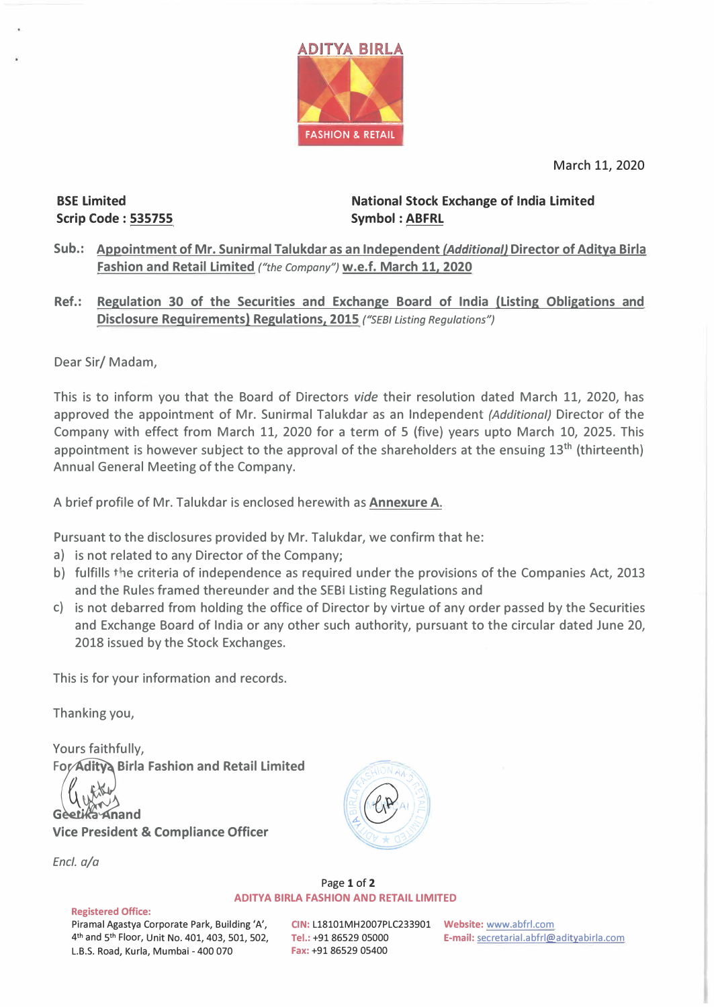

March 11, 2020

BSE Limited Scrip Code : 535755

National Stock Exchange of India Limited Symbol : **ABFRL** 

- **Sub.: Appointment of Mr. Sunirmal Talukdar as an Independent** *(Additional}* **Director of Aditya Birla Fashion and Retail Limited** *("the Company")* **w.e.f. March 11, 2020**
- **Ref.: Regulation 30 of the Securities and Exchange Board of India (Listing Obligations and Disclosure Requirements) Regulations, 2015** *("SEBI Listing Regulations")*

Dear Sir/ Madam,

This is to inform you that the Board of Directors *vide* their resolution dated March 11, 2020, has approved the appointment of Mr. Sunirmal Talukdar as an Independent *(Additional)* Director of the Company with effect from March 11, 2020 for a term of 5 (five} years upto March 10, 2025. This appointment is however subject to the approval of the shareholders at the ensuing  $13<sup>th</sup>$  (thirteenth) Annual General Meeting of the Company.

A brief profile of Mr. Talukdar is enclosed herewith as **Annexure A.** 

Pursuant to the disclosures provided by Mr. Talukdar, we confirm that he:

- a} is not related to any Director of the Company;
- b) fulfills the criteria of independence as required under the provisions of the Companies Act, 2013 and the Rules framed thereunder and the SEBI Listing Regulations and
- c} is not debarred from holding the office of Director by virtue of any order passed by the Securities and Exchange Board of India or any other such authority, pursuant to the circular dated June 20, 2018 issued by the Stock Exchanges.

This is for your information and records.

Thanking you,

Yours faithfully, **For Adity Birla Fashion and Retail Limited (1)**<br>(1) New Real Digital Retail Dimited

Geetika Anand

**Vice President & Compliance Officer** 

*Encl. a/a* 



Page 1 of 2 **ADITYA BIRLA FASHION AND RETAIL LIMITED** 

**Registered Office:** 

Piramal Agastya Corporate Park, Building 'A', **CIN:** L18101MH2007PLC233901 **Website:** www.abfrl.com 4 **th** and 5 L.B.S. Road, Kurla, Mumbai - 400 070

**th 19186529 05000 <b>E-mail:** <u>secretarial.abfrl@adityabirla.com</u><br>**Fax:** +91 86529 05400